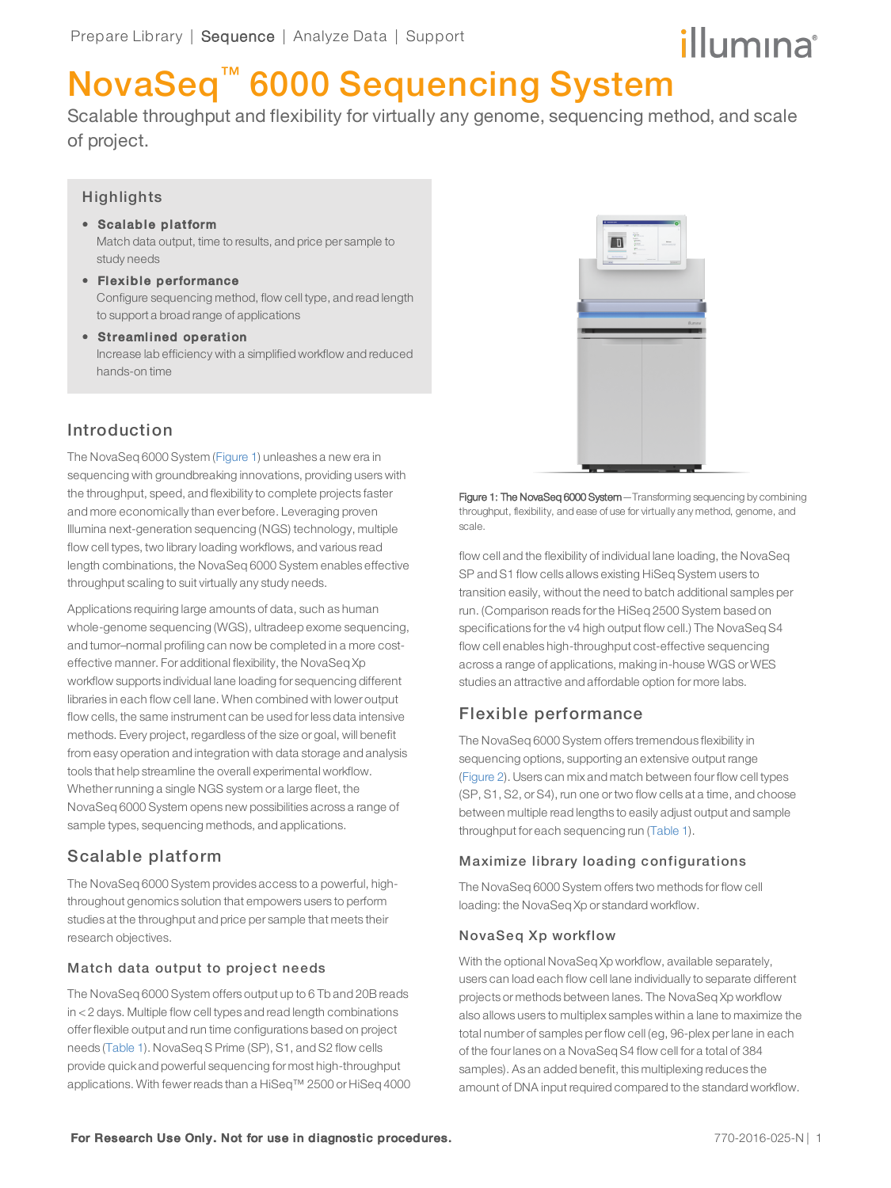# illumina®

# NovaSeq™ 6000 Sequencing System

Scalable throughput and flexibility for virtually any genome, sequencing method, and scale of project.

## **Highlights**

study needs

- Scalable platform Match data output, time to results, and price per sample to
- Flexible performance Configure sequencing method, flow cell type, and read length to support a broad range of applications
- Streamlined operation Increase lab efficiency with a simplified workflow and reduced hands-on time

# Introduction

The NovaSeq 6000 System ([Figure 1\)](#page-0-2) unleashes a new era in sequencing with groundbreaking innovations, providing users with the throughput, speed, and flexibility to complete projects faster and more economically than ever before. Leveraging proven Illumina next-generation sequencing (NGS) technology, multiple flow cell types, two library loading workflows, and various read length combinations, the NovaSeq 6000 System enables effective throughput scaling to suit virtually any study needs.

Applications requiring large amounts of data, such as human whole-genome sequencing (WGS), ultradeep exome sequencing, and tumor–normal profiling can now be completed in a more costeffective manner. For additional flexibility, the NovaSeq Xp workflow supports individual lane loading for sequencing different libraries in each flow cell lane. When combined with lower output flow cells, the same instrument can be used forless data intensive methods. Every project, regardless of the size or goal, will benefit from easy operation and integration with data storage and analysis tools that help streamline the overall experimental workflow. Whether running a single NGS system or a large fleet, the NovaSeq 6000 System opens new possibilities across a range of sample types, sequencing methods, and applications.

# <span id="page-0-0"></span>Scalable platform

The NovaSeq 6000 System provides access to a powerful, highthroughout genomics solution that empowers users to perform studies at the throughput and price per sample that meets their research objectives.

## Match data output to project needs

The NovaSeq 6000 System offers output up to 6 Tb and 20B reads in < 2 days. Multiple flow cell types and read length combinations offerflexible output and run time configurations based on project needs [\(Table 1](#page-1-1)). NovaSeq S Prime (SP), S1, and S2 flow cells provide quick and powerful sequencing for most high-throughput applications. With fewerreads than a HiSeq™ 2500 or HiSeq 4000



<span id="page-0-2"></span>Figure 1: The NovaSeq 6000 System—Transforming sequencing by combining throughput, flexibility, and ease of use for virtually any method, genome, and scale.

flow cell and the flexibility of individual lane loading, the NovaSeq SP and S1 flow cells allows existing HiSeq System users to transition easily, without the need to batch additional samples per run. (Comparison reads forthe HiSeq 2500 System based on specifications forthe v4 high output flow cell.) The NovaSeq S4 flow cell enables high-throughput cost-effective sequencing across a range of applications, making in-house WGS or WES studies an attractive and affordable option for more labs.

## <span id="page-0-1"></span>Flexible performance

The NovaSeq 6000 System offers tremendous flexibility in sequencing options, supporting an extensive output range ([Figure 2](#page-1-2)). Users can mix and match between fourflow cell types (SP, S1, S2, orS4), run one ortwo flow cells at a time, and choose between multiple read lengths to easily adjust output and sample throughput for each sequencing run ([Table 1](#page-1-1)).

## Maximize library loading configurations

The NovaSeq 6000 System offers two methods forflow cell loading: the NovaSeq Xp or standard workflow.

### NovaSeq Xp workflow

With the optional NovaSeq Xp workflow, available separately, users can load each flow cell lane individually to separate different projects or methods between lanes. The NovaSeq Xp workflow also allows users to multiplex samples within a lane to maximize the total number of samples perflow cell (eg, 96-plex perlane in each of the fourlanes on a NovaSeq S4 flow cell for a total of 384 samples). As an added benefit, this multiplexing reduces the amount of DNA input required compared to the standard workflow.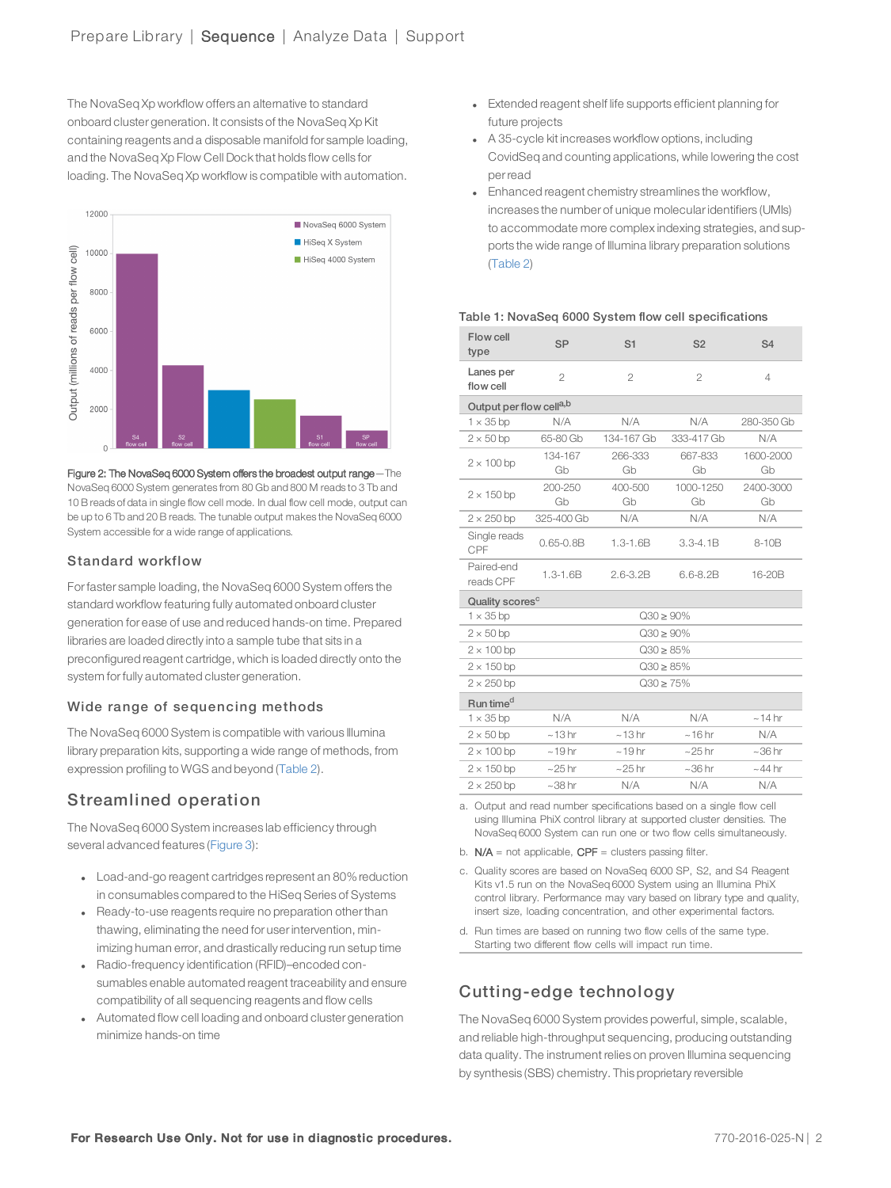The NovaSeq Xp workflow offers an alternative to standard onboard cluster generation. It consists of the NovaSeq Xp Kit containing reagents and a disposable manifold for sample loading, and the NovaSeq Xp Flow Cell Dock that holds flow cells for loading. The NovaSeq Xp workflow is compatible with automation.



<span id="page-1-2"></span>Figure 2: The NovaSeq 6000 System offers the broadest output range—The NovaSeq 6000 System generates from 80 Gb and 800 M reads to 3 Tb and 10 B reads of data in single flow cell mode. In dual flow cell mode, output can be up to 6 Tb and 20 B reads. The tunable output makes the NovaSeq 6000 System accessible for a wide range of applications.

### Standard workflow

Forfaster sample loading, the NovaSeq 6000 System offers the standard workflow featuring fully automated onboard cluster generation for ease of use and reduced hands-on time. Prepared libraries are loaded directly into a sample tube that sits in a preconfigured reagent cartridge, which is loaded directly onto the system for fully automated cluster generation.

### Wide range of sequencing methods

The NovaSeq 6000 System is compatible with various Illumina library preparation kits, supporting a wide range of methods, from expression profiling to WGS and beyond ([Table 2\)](#page-2-0).

# <span id="page-1-0"></span>Streamlined operation

The NovaSeq 6000 System increases lab efficiency through several advanced features ([Figure 3](#page-2-1)):

- Load-and-go reagent cartridges represent an 80% reduction in consumables compared to the HiSeq Series of Systems
- Ready-to-use reagents require no preparation other than thawing, eliminating the need for userintervention, minimizing human error, and drastically reducing run setup time
- Radio-frequency identification (RFID)–encoded consumables enable automated reagent traceability and ensure compatibility of all sequencing reagents and flow cells
- Automated flow cell loading and onboard cluster generation minimize hands-on time
- **Extended reagent shelf life supports efficient planning for** future projects
- A 35-cycle kit increases workflow options, including CovidSeq and counting applications, while lowering the cost perread
- Enhanced reagent chemistry streamlines the workflow, increases the number of unique molecularidentifiers (UMIs) to accommodate more complex indexing strategies, and supports the wide range of Illumina library preparation solutions ([Table 2](#page-2-2))

#### <span id="page-1-1"></span>Table 1: NovaSeq 6000 System flow cell specifications

| Flow cell<br>type                   | <b>SP</b>      | S <sub>1</sub> | S <sub>2</sub>  | S <sub>4</sub>  |  |
|-------------------------------------|----------------|----------------|-----------------|-----------------|--|
| Lanes per<br>flow cell              | $\overline{2}$ | $\overline{2}$ | $\overline{2}$  | $\overline{4}$  |  |
| Output per flow cell <sup>a,b</sup> |                |                |                 |                 |  |
| $1 \times 35$ bp                    | N/A            | N/A            | N/A             | 280-350 Gb      |  |
| $2 \times 50$ bp                    | 65-80 Gb       | 134-167 Gb     | 333-417 Gb      | N/A             |  |
| $2 \times 100$ bp                   | 134-167<br>Gb  | 266-333<br>Gb  | 667-833<br>Gb   | 1600-2000<br>Gb |  |
| $2 \times 150$ bp                   | 200-250<br>Gb  | 400-500<br>Gb  | 1000-1250<br>Gb | 2400-3000<br>Gb |  |
| $2 \times 250$ bp                   | 325-400 Gb     | N/A            | N/A             | N/A             |  |
| Single reads<br>CPF                 | $0.65 - 0.8B$  | $1.3 - 1.6B$   | $3.3 - 4.1B$    | 8-10B           |  |
| Paired-end<br>reads CPF             | $1.3 - 1.6B$   | $2.6 - 3.2B$   | $6.6 - 8.2B$    | 16-20B          |  |
| Quality scores <sup>c</sup>         |                |                |                 |                 |  |
| $1 \times 35$ bp                    | $Q30 \ge 90\%$ |                |                 |                 |  |
| $2 \times 50$ bp                    | $Q30 \ge 90\%$ |                |                 |                 |  |
| $2 \times 100$ bp                   | $Q30 \ge 85\%$ |                |                 |                 |  |
| $2 \times 150$ bp                   | $Q30 \ge 85\%$ |                |                 |                 |  |
| $2 \times 250$ bp                   | $Q30 \ge 75\%$ |                |                 |                 |  |
| Run time <sup>d</sup>               |                |                |                 |                 |  |
| $1 \times 35$ bp                    | N/A            | N/A            | N/A             | $~14$ hr        |  |
| $2 \times 50$ bp                    | ~13hr          | ~13hr          | ~16hr           | N/A             |  |
| $2 \times 100$ bp                   | $~19$ hr       | $~19$ hr       | $\sim$ 25 hr    | $~100$ hr       |  |
| $2 \times 150$ bp                   | $\sim$ 25 hr   | $\sim$ 25 hr   | $~100$ hr       | $~144$ hr       |  |
| $2 \times 250$ bp                   | $~1$ 38 hr     | N/A            | N/A             | N/A             |  |

<span id="page-1-3"></span>a. Output and read number specifications based on a single flow cell using Illumina PhiX control library at supported cluster densities. The NovaSeq 6000 System can run one or two flow cells simultaneously.

b.  $N/A$  = not applicable,  $CPF$  = clusters passing filter.

<span id="page-1-4"></span>c. Quality scores are based on NovaSeq 6000 SP, S2, and S4 Reagent Kits v1.5 run on the NovaSeq 6000 System using an Illumina PhiX control library. Performance may vary based on library type and quality, insert size, loading concentration, and other experimental factors.

d. Run times are based on running two flow cells of the same type. Starting two different flow cells will impact run time.

# Cutting-edge technology

The NovaSeq 6000 System provides powerful, simple, scalable, and reliable high-throughput sequencing, producing outstanding data quality. The instrument relies on proven Illumina sequencing by synthesis (SBS) chemistry. This proprietary reversible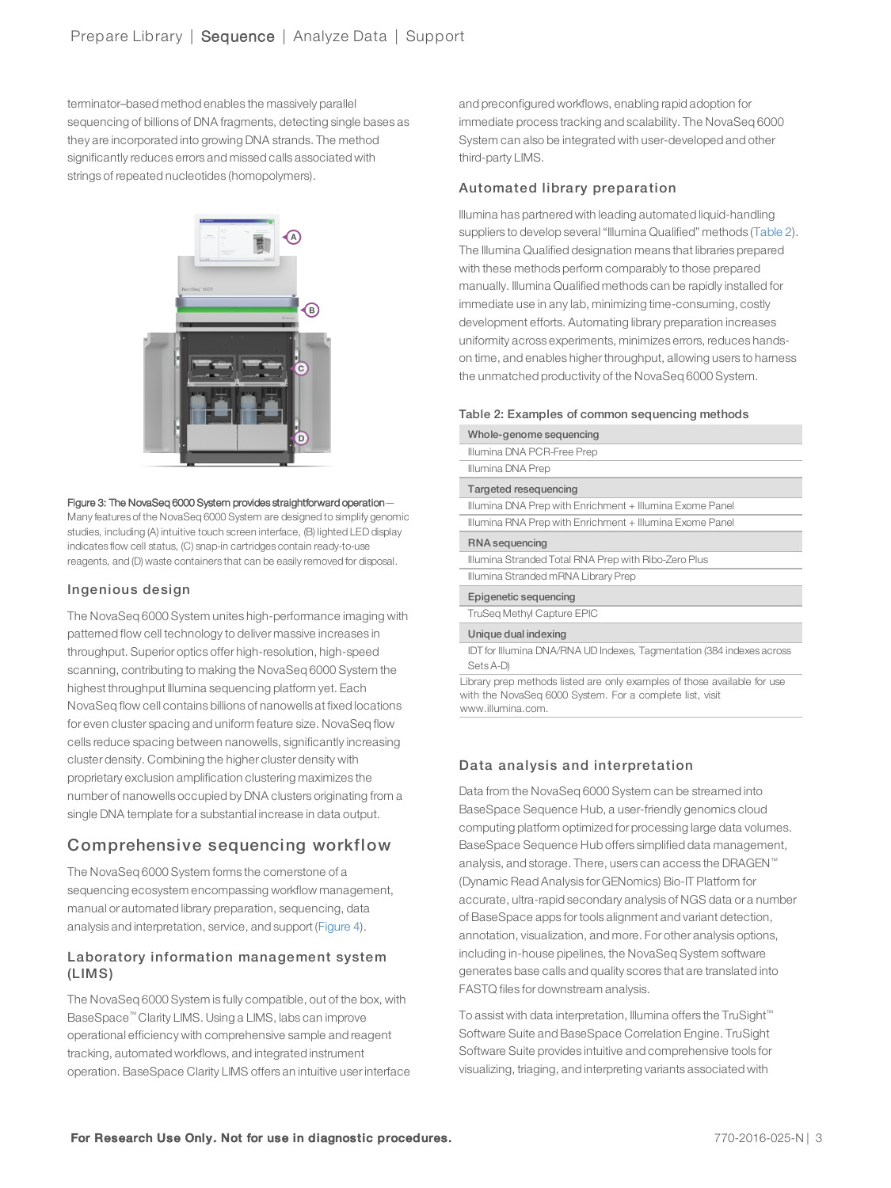terminator–based method enables the massively parallel sequencing of billions of DNA fragments, detecting single bases as they are incorporated into growing DNA strands. The method significantly reduces errors and missed calls associated with strings of repeated nucleotides (homopolymers).



#### <span id="page-2-1"></span>Figure 3: The NovaSeq 6000 System provides straightforward operation—

Many features of the NovaSeq 6000 System are designed to simplify genomic studies, including (A) intuitive touch screen interface, (B) lighted LED display indicates flow cell status, (C) snap-in cartridges contain ready-to-use reagents, and (D) waste containers that can be easily removed for disposal.

#### Ingenious de sign

The NovaSeq 6000 System unites high-performance imaging with patterned flow cell technology to deliver massive increases in throughput. Superior optics offer high-resolution, high-speed scanning, contributing to making the NovaSeq 6000 System the highest throughput Illumina sequencing platform yet. Each NovaSeq flow cell contains billions of nanowells at fixed locations for even cluster spacing and uniform feature size. NovaSeq flow cells reduce spacing between nanowells, significantly increasing cluster density. Combining the higher cluster density with proprietary exclusion amplification clustering maximizes the number of nanowells occupied by DNA clusters originating from a single DNA template for a substantial increase in data output.

## Comprehensive sequencing workflow

The NovaSeq 6000 System forms the cornerstone of a sequencing ecosystem encompassing workflow management, manual or automated library preparation, sequencing, data analysis and interpretation, service, and support ([Figure 4](#page-3-0)).

#### Laboratory information management system (LIMS)

The NovaSeq 6000 System is fully compatible, out of the box, with BaseSpace™ Clarity LIMS. Using a LIMS, labs can improve operational efficiency with comprehensive sample and reagent tracking, automated workflows, and integrated instrument operation. BaseSpace Clarity LIMS offers an intuitive userinterface and preconfigured workflows, enabling rapid adoption for immediate process tracking and scalability. The NovaSeq 6000 System can also be integrated with user-developed and other third-party LIMS.

#### Automated library preparation

lllumina has partnered with leading automated liquid-handling suppliers to develop several "Illumina Qualified" methods [\(Table 2](#page-2-0)). The Illumina Qualified designation means that libraries prepared with these methods perform comparably to those prepared manually. Illumina Qualified methods can be rapidly installed for immediate use in any lab, minimizing time-consuming, costly development efforts. Automating library preparation increases uniformity across experiments, minimizes errors, reduces handson time, and enables higherthroughput, allowing users to harness the unmatched productivity of the NovaSeq 6000 System.

#### <span id="page-2-2"></span><span id="page-2-0"></span>Table 2: Examples of common sequencing methods

| Whole-genome sequencing                                                            |
|------------------------------------------------------------------------------------|
| Illumina DNA PCR-Free Prep                                                         |
| Illumina DNA Prep                                                                  |
| Targeted resequencing                                                              |
| Illumina DNA Prep with Enrichment + Illumina Exome Panel                           |
| Illumina RNA Prep with Enrichment + Illumina Exome Panel                           |
| RNA sequencing                                                                     |
| Illumina Stranded Total RNA Prep with Ribo-Zero Plus                               |
| Illumina Stranded mRNA Library Prep                                                |
| Epigenetic sequencing                                                              |
| TruSeg Methyl Capture EPIC                                                         |
| Unique dual indexing                                                               |
| IDT for Illumina DNA/RNA UD Indexes, Tagmentation (384 indexes across<br>Sets A-D) |

Library prep methods listed are only examples of those available for use with the NovaSeq 6000 System. For a complete list, visit www.illumina.com.

#### Data analysis and interpretation

Data from the NovaSeq 6000 System can be streamed into BaseSpace Sequence Hub, a user-friendly genomics cloud computing platform optimized for processing large data volumes. BaseSpace Sequence Hub offers simplified data management, analysis, and storage. There, users can access the DRAGEN™ (Dynamic Read Analysis for GENomics) Bio-IT Platform for accurate, ultra-rapid secondary analysis of NGS data or a number of BaseSpace apps fortools alignment and variant detection, annotation, visualization, and more. For other analysis options, including in-house pipelines, the NovaSeq System software generates base calls and quality scores that are translated into FASTQ files for downstream analysis.

To assist with data interpretation, Illumina offers the TruSight™ Software Suite and BaseSpace Correlation Engine. TruSight Software Suite provides intuitive and comprehensive tools for visualizing, triaging, and interpreting variants associated with